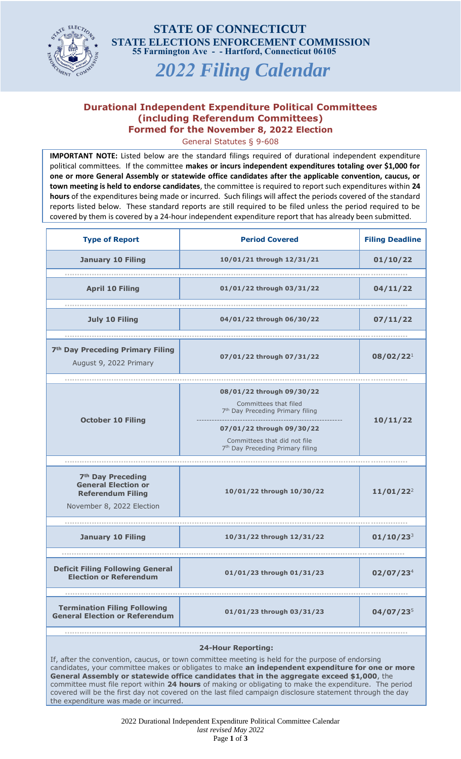

**55 Farmington Ave - - Hartford, Connecticut 06105 STATE OF CONNECTICUT STATE ELECTIONS ENFORCEMENT COMMISSION** 

*2022 Filing Calendar*

## **Durational Independent Expenditure Political Committees (including Referendum Committees) Formed for the November 8, 2022 Election**

General Statutes § 9-608

**IMPORTANT NOTE:** Listed below are the standard filings required of durational independent expenditure political committees. If the committee **makes or incurs independent expenditures totaling over \$1,000 for one or more General Assembly or statewide office candidates after the applicable convention, caucus, or town meeting is held to endorse candidates**, the committee is required to report such expenditures within **24 hours** of the expenditures being made or incurred. Such filings will affect the periods covered of the standard reports listed below. These standard reports are still required to be filed unless the period required to be covered by them is covered by a 24-hour independent expenditure report that has already been submitted.

| <b>Type of Report</b>                                                                                                | <b>Period Covered</b>                                                                                                                                                                                           | <b>Filing Deadline</b> |
|----------------------------------------------------------------------------------------------------------------------|-----------------------------------------------------------------------------------------------------------------------------------------------------------------------------------------------------------------|------------------------|
| <b>January 10 Filing</b>                                                                                             | 10/01/21 through 12/31/21                                                                                                                                                                                       | 01/10/22               |
| <b>April 10 Filing</b>                                                                                               | 01/01/22 through 03/31/22                                                                                                                                                                                       | 04/11/22               |
| <b>July 10 Filing</b>                                                                                                | 04/01/22 through 06/30/22                                                                                                                                                                                       | 07/11/22               |
|                                                                                                                      |                                                                                                                                                                                                                 |                        |
| 7 <sup>th</sup> Day Preceding Primary Filing<br>August 9, 2022 Primary                                               | 07/01/22 through 07/31/22                                                                                                                                                                                       | 08/02/22 <sup>1</sup>  |
|                                                                                                                      |                                                                                                                                                                                                                 |                        |
| <b>October 10 Filing</b>                                                                                             | 08/01/22 through 09/30/22<br>Committees that filed<br>7 <sup>th</sup> Day Preceding Primary filing<br>07/01/22 through 09/30/22<br>Committees that did not file<br>7 <sup>th</sup> Day Preceding Primary filing | 10/11/22               |
|                                                                                                                      |                                                                                                                                                                                                                 |                        |
| 7 <sup>th</sup> Day Preceding<br><b>General Election or</b><br><b>Referendum Filing</b><br>November 8, 2022 Election | 10/01/22 through 10/30/22                                                                                                                                                                                       | $11/01/22^2$           |
|                                                                                                                      |                                                                                                                                                                                                                 |                        |
| <b>January 10 Filing</b>                                                                                             | 10/31/22 through 12/31/22                                                                                                                                                                                       | $01/10/23^{3}$         |
|                                                                                                                      |                                                                                                                                                                                                                 |                        |
| <b>Deficit Filing Following General</b><br><b>Election or Referendum</b>                                             | 01/01/23 through 01/31/23                                                                                                                                                                                       | 02/07/23 <sup>4</sup>  |
|                                                                                                                      |                                                                                                                                                                                                                 |                        |
| <b>Termination Filing Following</b><br><b>General Election or Referendum</b>                                         | 01/01/23 through 03/31/23                                                                                                                                                                                       | $04/07/23^{5}$         |
|                                                                                                                      |                                                                                                                                                                                                                 |                        |

## **24-Hour Reporting:**

If, after the convention, caucus, or town committee meeting is held for the purpose of endorsing candidates, your committee makes or obligates to make **an independent expenditure for one or more General Assembly or statewide office candidates that in the aggregate exceed \$1,000**, the committee must file report within **24 hours** of making or obligating to make the expenditure. The period covered will be the first day not covered on the last filed campaign disclosure statement through the day the expenditure was made or incurred.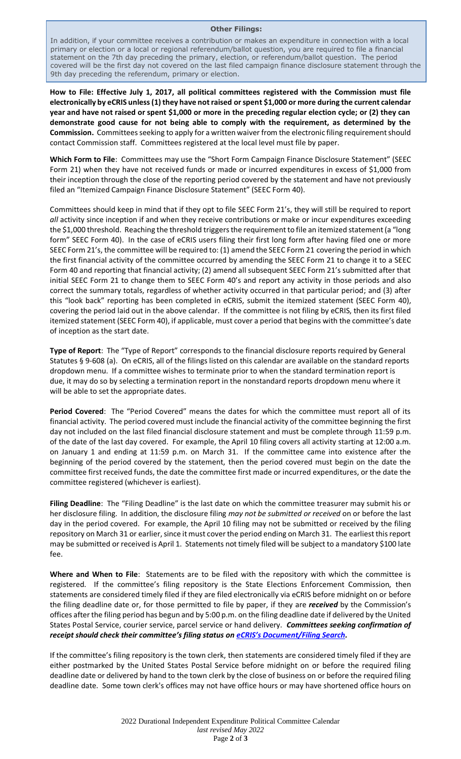## **Other Filings:**

In addition, if your committee receives a contribution or makes an expenditure in connection with a local primary or election or a local or regional referendum/ballot question, you are required to file a financial statement on the 7th day preceding the primary, election, or referendum/ballot question. The period covered will be the first day not covered on the last filed campaign finance disclosure statement through the 9th day preceding the referendum, primary or election.

**How to File: Effective July 1, 2017, all political committees registered with the Commission must file electronically by eCRIS unless (1) they have not raised or spent \$1,000 or more during the current calendar year and have not raised or spent \$1,000 or more in the preceding regular election cycle; or (2) they can demonstrate good cause for not being able to comply with the requirement, as determined by the Commission.** Committees seeking to apply for a written waiver from the electronic filing requirement should contact Commission staff. Committees registered at the local level must file by paper.

**Which Form to File**: Committees may use the "Short Form Campaign Finance Disclosure Statement" (SEEC Form 21) when they have not received funds or made or incurred expenditures in excess of \$1,000 from their inception through the close of the reporting period covered by the statement and have not previously filed an "Itemized Campaign Finance Disclosure Statement" (SEEC Form 40).

Committees should keep in mind that if they opt to file SEEC Form 21's, they will still be required to report *all* activity since inception if and when they receive contributions or make or incur expenditures exceeding the \$1,000 threshold. Reaching the threshold triggers the requirement to file an itemized statement (a "long form" SEEC Form 40). In the case of eCRIS users filing their first long form after having filed one or more SEEC Form 21's, the committee will be required to: (1) amend the SEEC Form 21 covering the period in which the first financial activity of the committee occurred by amending the SEEC Form 21 to change it to a SEEC Form 40 and reporting that financial activity; (2) amend all subsequent SEEC Form 21's submitted after that initial SEEC Form 21 to change them to SEEC Form 40's and report any activity in those periods and also correct the summary totals, regardless of whether activity occurred in that particular period; and (3) after this "look back" reporting has been completed in eCRIS, submit the itemized statement (SEEC Form 40), covering the period laid out in the above calendar. If the committee is not filing by eCRIS, then its first filed itemized statement (SEEC Form 40), if applicable, must cover a period that begins with the committee's date of inception as the start date.

**Type of Report**: The "Type of Report" corresponds to the financial disclosure reports required by General Statutes § 9-608 (a). On eCRIS, all of the filings listed on this calendar are available on the standard reports dropdown menu. If a committee wishes to terminate prior to when the standard termination report is due, it may do so by selecting a termination report in the nonstandard reports dropdown menu where it will be able to set the appropriate dates.

**Period Covered**: The "Period Covered" means the dates for which the committee must report all of its financial activity. The period covered must include the financial activity of the committee beginning the first day not included on the last filed financial disclosure statement and must be complete through 11:59 p.m. of the date of the last day covered. For example, the April 10 filing covers all activity starting at 12:00 a.m. on January 1 and ending at 11:59 p.m. on March 31. If the committee came into existence after the beginning of the period covered by the statement, then the period covered must begin on the date the committee first received funds, the date the committee first made or incurred expenditures, or the date the committee registered (whichever is earliest).

**Filing Deadline**: The "Filing Deadline" is the last date on which the committee treasurer may submit his or her disclosure filing. In addition, the disclosure filing *may not be submitted or received* on or before the last day in the period covered. For example, the April 10 filing may not be submitted or received by the filing repository on March 31 or earlier, since it must cover the period ending on March 31. The earliest this report may be submitted or received is April 1. Statements not timely filed will be subject to a mandatory \$100 late fee.

**Where and When to File**: Statements are to be filed with the repository with which the committee is registered. If the committee's filing repository is the State Elections Enforcement Commission, then statements are considered timely filed if they are filed electronically via eCRIS before midnight on or before the filing deadline date or, for those permitted to file by paper, if they are *received* by the Commission's offices after the filing period has begun and by 5:00 p.m. on the filing deadline date if delivered by the United States Postal Service, courier service, parcel service or hand delivery. *Committees seeking confirmation of receipt should check their committee's filing status on eCRIS's [Document/Filing](Sec.%209-7b.%20(Formerly%20Sec.%209-368b).%20State%20Elections%20Enforcement%20Commission) Search.*

If the committee's filing repository is the town clerk, then statements are considered timely filed if they are either postmarked by the United States Postal Service before midnight on or before the required filing deadline date or delivered by hand to the town clerk by the close of business on or before the required filing deadline date. Some town clerk's offices may not have office hours or may have shortened office hours on